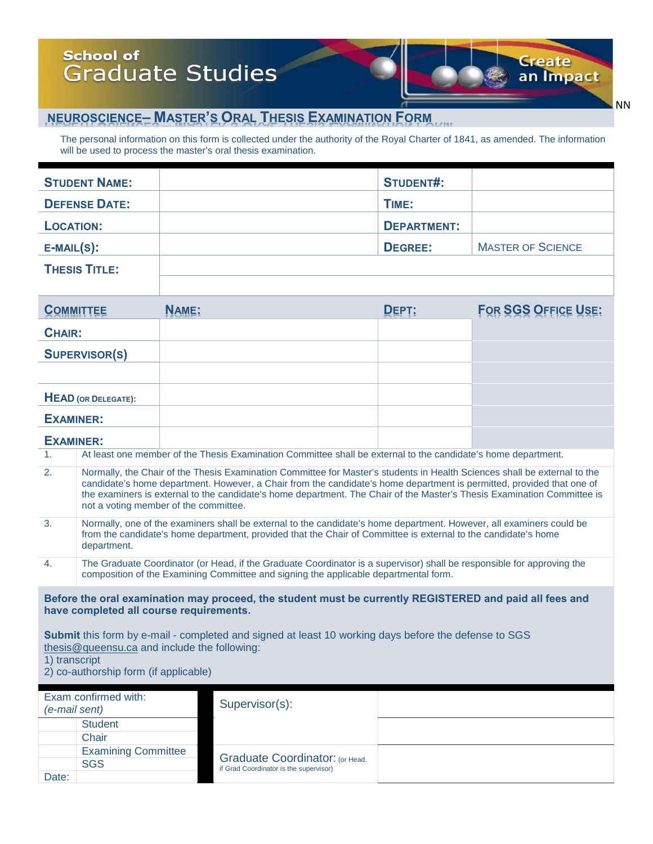## **School of** Graduate Studies

### **NEUROSCIENCE– MASTER'S ORAL THESIS EXAMINATION FORM**

The personal information on this form is collected under the authority of the Royal Charter of 1841, as amended. The information will be used to process the master's oral thesis examination.

|                                                                                                                                                                                                                                                                                                                                                                                                                              | <b>STUDENT NAME:</b>                                                                                                                                                                                                                                  |              | <b>STUDENT#:</b>   |                            |  |  |
|------------------------------------------------------------------------------------------------------------------------------------------------------------------------------------------------------------------------------------------------------------------------------------------------------------------------------------------------------------------------------------------------------------------------------|-------------------------------------------------------------------------------------------------------------------------------------------------------------------------------------------------------------------------------------------------------|--------------|--------------------|----------------------------|--|--|
| <b>DEFENSE DATE:</b>                                                                                                                                                                                                                                                                                                                                                                                                         |                                                                                                                                                                                                                                                       |              | TIME:              |                            |  |  |
| <b>LOCATION:</b>                                                                                                                                                                                                                                                                                                                                                                                                             |                                                                                                                                                                                                                                                       |              | <b>DEPARTMENT:</b> |                            |  |  |
| $E-MAIL(S)$ :                                                                                                                                                                                                                                                                                                                                                                                                                |                                                                                                                                                                                                                                                       |              | <b>DEGREE:</b>     | <b>MASTER OF SCIENCE</b>   |  |  |
|                                                                                                                                                                                                                                                                                                                                                                                                                              | <b>THESIS TITLE:</b>                                                                                                                                                                                                                                  |              |                    |                            |  |  |
|                                                                                                                                                                                                                                                                                                                                                                                                                              |                                                                                                                                                                                                                                                       |              |                    |                            |  |  |
| <b>COMMITTEE</b>                                                                                                                                                                                                                                                                                                                                                                                                             |                                                                                                                                                                                                                                                       | <b>NAME:</b> | DEPT:              | <b>FOR SGS OFFICE USE:</b> |  |  |
| <b>CHAIR:</b>                                                                                                                                                                                                                                                                                                                                                                                                                |                                                                                                                                                                                                                                                       |              |                    |                            |  |  |
| <b>SUPERVISOR(S)</b>                                                                                                                                                                                                                                                                                                                                                                                                         |                                                                                                                                                                                                                                                       |              |                    |                            |  |  |
|                                                                                                                                                                                                                                                                                                                                                                                                                              |                                                                                                                                                                                                                                                       |              |                    |                            |  |  |
| <b>HEAD</b> (OR DELEGATE):                                                                                                                                                                                                                                                                                                                                                                                                   |                                                                                                                                                                                                                                                       |              |                    |                            |  |  |
| <b>EXAMINER:</b>                                                                                                                                                                                                                                                                                                                                                                                                             |                                                                                                                                                                                                                                                       |              |                    |                            |  |  |
| <b>EXAMINER:</b>                                                                                                                                                                                                                                                                                                                                                                                                             |                                                                                                                                                                                                                                                       |              |                    |                            |  |  |
| 1 <sub>1</sub>                                                                                                                                                                                                                                                                                                                                                                                                               | At least one member of the Thesis Examination Committee shall be external to the candidate's home department.                                                                                                                                         |              |                    |                            |  |  |
| 2.<br>Normally, the Chair of the Thesis Examination Committee for Master's students in Health Sciences shall be external to the<br>candidate's home department. However, a Chair from the candidate's home department is permitted, provided that one of<br>the examiners is external to the candidate's home department. The Chair of the Master's Thesis Examination Committee is<br>not a voting member of the committee. |                                                                                                                                                                                                                                                       |              |                    |                            |  |  |
| 3.                                                                                                                                                                                                                                                                                                                                                                                                                           | Normally, one of the examiners shall be external to the candidate's home department. However, all examiners could be<br>from the candidate's home department, provided that the Chair of Committee is external to the candidate's home<br>department. |              |                    |                            |  |  |

4. The Graduate Coordinator (or Head, if the Graduate Coordinator is a supervisor) shall be responsible for approving the composition of the Examining Committee and signing the applicable departmental form.

**Before the oral examination may proceed, the student must be currently REGISTERED and paid all fees and have completed all course requirements.**

**Submit** this form by e-mail - completed and signed at least 10 working days before the defense to SGS [thesis@queensu.ca](mailto:thesis@queensu.ca) and include the following: 1) transcript

2) co-authorship form (if applicable)

| Exam confirmed with:<br>(e-mail sent) |                            | Supervisor(s):                                                            |  |
|---------------------------------------|----------------------------|---------------------------------------------------------------------------|--|
|                                       | <b>Student</b>             |                                                                           |  |
|                                       | Chair                      |                                                                           |  |
|                                       | <b>Examining Committee</b> |                                                                           |  |
|                                       | <b>SGS</b>                 | Graduate Coordinator: (or Head,<br>if Grad Coordinator is the supervisor) |  |
| Date:                                 |                            |                                                                           |  |

NN

**Create** 

 $\frac{1}{2}$ 

an Impact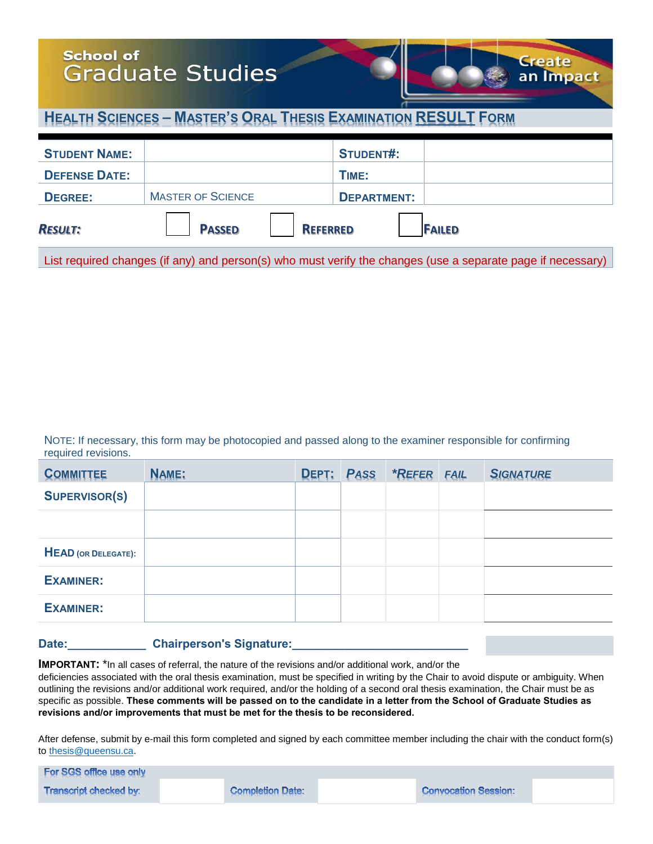### **School of Graduate Studies**



| <b>STUDENT NAME:</b> |                          |                 | <b>STUDENT#:</b>   |               |
|----------------------|--------------------------|-----------------|--------------------|---------------|
| <b>DEFENSE DATE:</b> |                          |                 | TIME:              |               |
| <b>DEGREE:</b>       | <b>MASTER OF SCIENCE</b> |                 | <b>DEPARTMENT:</b> |               |
| <b>RESULT:</b>       | <b>PASSED</b>            | <b>REFERRED</b> |                    | <b>FAILED</b> |

an Impact

List required changes (if any) and person(s) who must verify the changes (use a separate page if necessary)

NOTE: If necessary, this form may be photocopied and passed along to the examiner responsible for confirming required revisions.

| <b>COMMITTEE</b>           | <b>NAME:</b> | DEPT: | <b>PASS</b> | <b>*REFER</b> | <b>FAIL</b> | <b>SIGNATURE</b> |
|----------------------------|--------------|-------|-------------|---------------|-------------|------------------|
| <b>SUPERVISOR(S)</b>       |              |       |             |               |             |                  |
|                            |              |       |             |               |             |                  |
| <b>HEAD</b> (OR DELEGATE): |              |       |             |               |             |                  |
| <b>EXAMINER:</b>           |              |       |             |               |             |                  |
| <b>EXAMINER:</b>           |              |       |             |               |             |                  |

#### Date:\_\_\_\_\_\_\_\_\_\_\_\_\_\_\_\_\_Chairperson's Signature:

**IMPORTANT:** \*In all cases of referral, the nature of the revisions and/or additional work, and/or the

deficiencies associated with the oral thesis examination, must be specified in writing by the Chair to avoid dispute or ambiguity. When outlining the revisions and/or additional work required, and/or the holding of a second oral thesis examination, the Chair must be as specific as possible. **These comments will be passed on to the candidate in a letter from the School of Graduate Studies as revisions and/or improvements that must be met for the thesis to be reconsidered.**

After defense, submit by e-mail this form completed and signed by each committee member including the chair with the conduct form(s) to [thesis@queensu.ca.](mailto:thesis@queensu.ca)

| For SGS office use only |  |                         |  |                             |  |  |
|-------------------------|--|-------------------------|--|-----------------------------|--|--|
| Transcript checked by:  |  | <b>Completion Date:</b> |  | <b>Convocation Session:</b> |  |  |